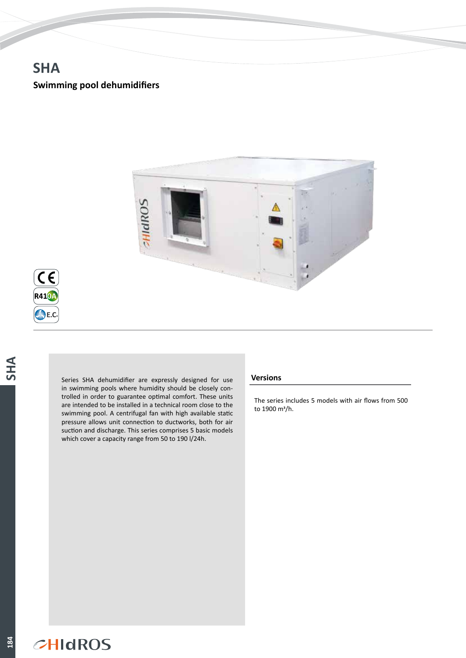# **SHA**

## **Swimming pool dehumidifiers**



**EVI**

**184**

Series SHA dehumidifier are expressly designed for use in swimming pools where humidity should be closely controlled in order to guarantee optimal comfort. These units are intended to be installed in a technical room close to the swimming pool. A centrifugal fan with high available static pressure allows unit connection to ductworks, both for air suction and discharge. This series comprises 5 basic models which cover a capacity range from 50 to 190 l/24h.

### **Versions**

The series includes 5 models with air flows from 500 to 1900 m3/h.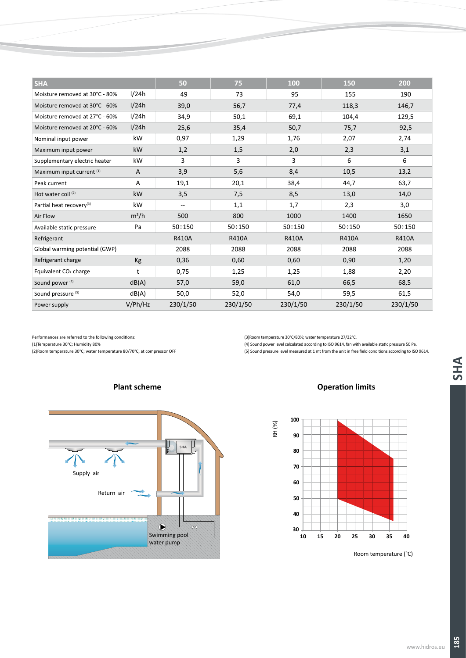| <b>SHA</b>                           |         | 50            | 75            | 100           | 150           | 200          |
|--------------------------------------|---------|---------------|---------------|---------------|---------------|--------------|
| Moisture removed at 30°C - 80%       | 1/24h   | 49            | 73            | 95            | 155           | 190          |
| Moisture removed at 30°C - 60%       | 1/24h   | 39,0          | 56,7          | 77,4          | 118,3         | 146,7        |
| Moisture removed at 27°C - 60%       | 1/24h   | 34,9          | 50,1          | 69,1          | 104,4         | 129,5        |
| Moisture removed at 20°C - 60%       | 1/24h   | 25,6          | 35,4          | 50,7          | 75,7          | 92,5         |
| Nominal input power                  | kW      | 0,97          | 1,29          | 1,76          | 2,07          | 2,74         |
| Maximum input power                  | kW      | 1,2           | 1,5           | 2,0           | 2,3           | 3,1          |
| Supplementary electric heater        | kW      | 3             | 3             | 3             | 6             | 6            |
| Maximum input current (1)            | A       | 3,9           | 5,6           | 8,4           | 10,5          | 13,2         |
| Peak current                         | A       | 19,1          | 20,1          | 38,4          | 44,7          | 63,7         |
| Hot water coil <sup>(2)</sup>        | kW      | 3,5           | 7,5           | 8,5           | 13,0          | 14,0         |
| Partial heat recovery <sup>(3)</sup> | kW      | --            | 1,1           | 1,7           | 2,3           | 3,0          |
| Air Flow                             | $m^3/h$ | 500           | 800           | 1000          | 1400          | 1650         |
| Available static pressure            | Pa      | $50 \div 150$ | $50 \div 150$ | $50 \div 150$ | $50 \div 150$ | 50:150       |
| Refrigerant                          |         | <b>R410A</b>  | <b>R410A</b>  | <b>R410A</b>  | <b>R410A</b>  | <b>R410A</b> |
| Global warming potential (GWP)       |         | 2088          | 2088          | 2088          | 2088          | 2088         |
| Refrigerant charge                   | Kg      | 0,36          | 0,60          | 0,60          | 0,90          | 1,20         |
| Equivalent CO <sub>2</sub> charge    | t       | 0,75          | 1,25          | 1,25          | 1,88          | 2,20         |
| Sound power <sup>(4)</sup>           | dB(A)   | 57,0          | 59,0          | 61,0          | 66,5          | 68,5         |
| Sound pressure (5)                   | dB(A)   | 50,0          | 52,0          | 54,0          | 59,5          | 61,5         |
| Power supply                         | V/Ph/Hz | 230/1/50      | 230/1/50      | 230/1/50      | 230/1/50      | 230/1/50     |

Performances are referred to the following conditions:

(1)Temperature 30°C; Humidity 80%

(2)Room temperature 30°C; water temperature 80/70°C, at compressor OFF

(3)Room temperature 30°C/80%; water temperature 27/32°C.

(4) Sound power level calculated according to ISO 9614, fan with available static pressure 50 Pa. (5) Sound pressure level measured at 1 mt from the unit in free field conditions according to ISO 9614.







Room temperature (°C)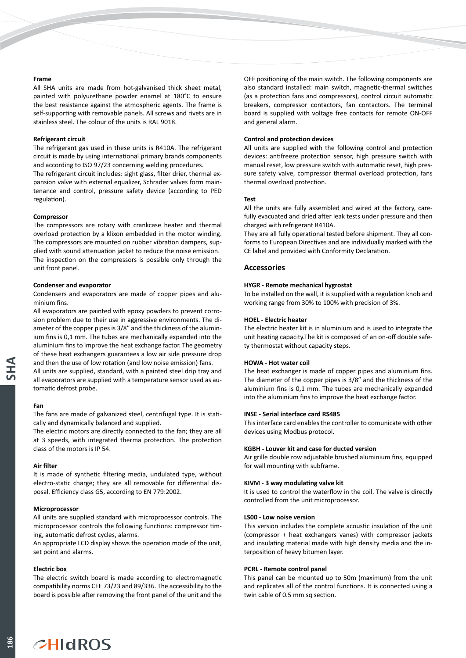#### **Frame**

All SHA units are made from hot-galvanised thick sheet metal, painted with polyurethane powder enamel at 180°C to ensure the best resistance against the atmospheric agents. The frame is self-supporting with removable panels. All screws and rivets are in stainless steel. The colour of the units is RAL 9018.

#### **Refrigerant circuit**

The refrigerant gas used in these units is R410A. The refrigerant circuit is made by using international primary brands components and according to ISO 97/23 concerning welding procedures.

The refrigerant circuit includes: sight glass, filter drier, thermal expansion valve with external equalizer, Schrader valves form maintenance and control, pressure safety device (according to PED regulation).

#### **Compressor**

The compressors are rotary with crankcase heater and thermal overload protection by a klixon embedded in the motor winding. The compressors are mounted on rubber vibration dampers, supplied with sound attenuation jacket to reduce the noise emission. The inspection on the compressors is possible only through the unit front panel.

#### **Condenser and evaporator**

Condensers and evaporators are made of copper pipes and aluminium fins.

All evaporators are painted with epoxy powders to prevent corrosion problem due to their use in aggressive environments. The diameter of the copper pipes is 3/8" and the thickness of the aluminium fins is 0,1 mm. The tubes are mechanically expanded into the aluminium fins to improve the heat exchange factor. The geometry of these heat exchangers guarantees a low air side pressure drop and then the use of low rotation (and low noise emission) fans.

All units are supplied, standard, with a painted steel drip tray and all evaporators are supplied with a temperature sensor used as automatic defrost probe.

#### **Fan**

The fans are made of galvanized steel, centrifugal type. It is statically and dynamically balanced and supplied.

The electric motors are directly connected to the fan; they are all at 3 speeds, with integrated therma protection. The protection class of the motors is IP 54.

#### **Air filter**

It is made of synthetic filtering media, undulated type, without electro-static charge; they are all removable for differential disposal. Efficiency class G5, according to EN 779:2002.

#### **Microprocessor**

All units are supplied standard with microprocessor controls. The microprocessor controls the following functions: compressor timing, automatic defrost cycles, alarms.

An appropriate LCD display shows the operation mode of the unit, set point and alarms.

#### **Electric box**

The electric switch board is made according to electromagnetic compatibility norms CEE 73/23 and 89/336. The accessibility to the board is possible after removing the front panel of the unit and the OFF positioning of the main switch. The following components are also standard installed: main switch, magnetic-thermal switches (as a protection fans and compressors), control circuit automatic breakers, compressor contactors, fan contactors. The terminal board is supplied with voltage free contacts for remote ON-OFF and general alarm.

#### **Control and protection devices**

All units are supplied with the following control and protection devices: antifreeze protection sensor, high pressure switch with manual reset, low pressure switch with automatic reset, high pressure safety valve, compressor thermal overload protection, fans thermal overload protection.

#### **Test**

All the units are fully assembled and wired at the factory, carefully evacuated and dried after leak tests under pressure and then charged with refrigerant R410A.

They are all fully operational tested before shipment. They all conforms to European Directives and are individually marked with the CE label and provided with Conformity Declaration.

#### **Accessories**

#### **HYGR - Remote mechanical hygrostat**

To be installed on the wall, it is supplied with a regulation knob and working range from 30% to 100% with precision of 3%.

#### **HOEL - Electric heater**

The electric heater kit is in aluminium and is used to integrate the unit heating capacity.The kit is composed of an on-off double safety thermostat without capacity steps.

#### **HOWA - Hot water coil**

The heat exchanger is made of copper pipes and aluminium fins. The diameter of the copper pipes is 3/8" and the thickness of the aluminium fins is 0,1 mm. The tubes are mechanically expanded into the aluminium fins to improve the heat exchange factor.

#### **INSE - Serial interface card RS485**

This interface card enables the controller to comunicate with other devices using Modbus protocol.

#### **KGBH - Louver kit and case for ducted version**

Air grille double row adjustable brushed aluminium fins, equipped for wall mounting with subframe.

#### **KIVM - 3 way modulating valve kit**

It is used to control the waterflow in the coil. The valve is directly controlled from the unit microprocessor.

#### **LS00 - Low noise version**

This version includes the complete acoustic insulation of the unit (compressor + heat exchangers vanes) with compressor jackets and insulating material made with high density media and the interposition of heavy bitumen layer.

#### **PCRL - Remote control panel**

This panel can be mounted up to 50m (maximum) from the unit and replicates all of the control functions. It is connected using a twin cable of 0.5 mm sq section.

## $CHIdROS$

186